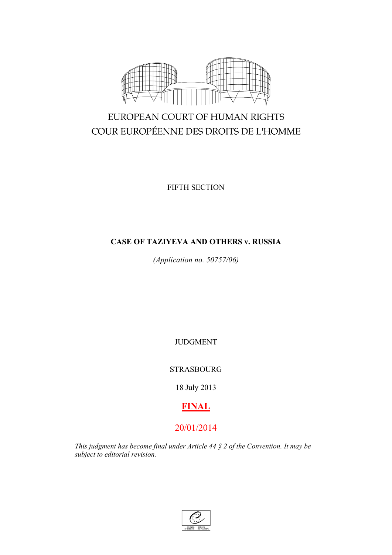

# EUROPEAN COURT OF HUMAN RIGHTS COUR EUROPÉENNE DES DROITS DE L'HOMME

FIFTH SECTION

# **CASE OF TAZIYEVA AND OTHERS v. RUSSIA**

*(Application no. 50757/06)*

JUDGMENT

STRASBOURG

18 July 2013

# **FINAL**

# 20/01/2014

*This judgment has become final under Article 44 § 2 of the Convention. It may be subject to editorial revision.*

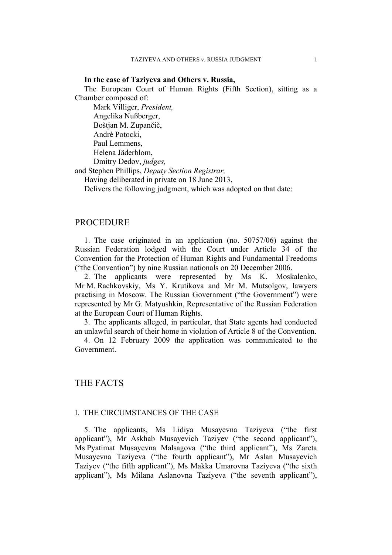#### **In the case of Taziyeva and Others v. Russia,**

The European Court of Human Rights (Fifth Section), sitting as a Chamber composed of:

Mark Villiger, *President,* Angelika Nußberger, Boštjan M. Zupančič, André Potocki, Paul Lemmens, Helena Jäderblom, Dmitry Dedov, *judges,*

and Stephen Phillips, *Deputy Section Registrar,*

Having deliberated in private on 18 June 2013,

Delivers the following judgment, which was adopted on that date:

#### **PROCEDURE**

1. The case originated in an application (no. 50757/06) against the Russian Federation lodged with the Court under Article 34 of the Convention for the Protection of Human Rights and Fundamental Freedoms ("the Convention") by nine Russian nationals on 20 December 2006.

2. The applicants were represented by Ms K. Moskalenko, Mr M. Rachkovskiy, Ms Y. Krutikova and Mr M. Mutsolgov, lawyers practising in Moscow. The Russian Government ("the Government") were represented by Mr G. Matyushkin, Representative of the Russian Federation at the European Court of Human Rights.

3. The applicants alleged, in particular, that State agents had conducted an unlawful search of their home in violation of Article 8 of the Convention.

4. On 12 February 2009 the application was communicated to the Government.

## THE FACTS

#### I. THE CIRCUMSTANCES OF THE CASE

5. The applicants, Ms Lidiya Musayevna Taziyeva ("the first applicant"), Mr Askhab Musayevich Taziyev ("the second applicant"), Ms Pyatimat Musayevna Malsagova ("the third applicant"), Ms Zareta Musayevna Taziyeva ("the fourth applicant"), Mr Aslan Musayevich Taziyev ("the fifth applicant"), Ms Makka Umarovna Taziyeva ("the sixth applicant"), Ms Milana Aslanovna Taziyeva ("the seventh applicant"),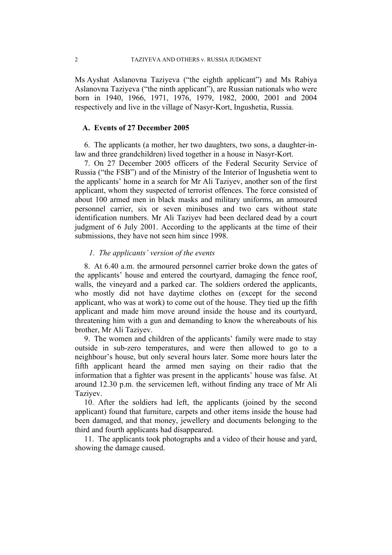Ms Ayshat Aslanovna Taziyeva ("the eighth applicant") and Ms Rabiya Aslanovna Taziyeva ("the ninth applicant"), are Russian nationals who were born in 1940, 1966, 1971, 1976, 1979, 1982, 2000, 2001 and 2004 respectively and live in the village of Nasyr-Kort, Ingushetia, Russia.

#### **A. Events of 27 December 2005**

6. The applicants (a mother, her two daughters, two sons, a daughter-inlaw and three grandchildren) lived together in a house in Nasyr-Kort.

7. On 27 December 2005 officers of the Federal Security Service of Russia ("the FSB") and of the Ministry of the Interior of Ingushetia went to the applicants' home in a search for Mr Ali Taziyev, another son of the first applicant, whom they suspected of terrorist offences. The force consisted of about 100 armed men in black masks and military uniforms, an armoured personnel carrier, six or seven minibuses and two cars without state identification numbers. Mr Ali Taziyev had been declared dead by a court judgment of 6 July 2001. According to the applicants at the time of their submissions, they have not seen him since 1998.

#### *1. The applicants' version of the events*

8. At 6.40 a.m. the armoured personnel carrier broke down the gates of the applicants' house and entered the courtyard, damaging the fence roof, walls, the vineyard and a parked car. The soldiers ordered the applicants, who mostly did not have daytime clothes on (except for the second applicant, who was at work) to come out of the house. They tied up the fifth applicant and made him move around inside the house and its courtyard, threatening him with a gun and demanding to know the whereabouts of his brother, Mr Ali Taziyev.

9. The women and children of the applicants' family were made to stay outside in sub-zero temperatures, and were then allowed to go to a neighbour's house, but only several hours later. Some more hours later the fifth applicant heard the armed men saying on their radio that the information that a fighter was present in the applicants' house was false. At around 12.30 p.m. the servicemen left, without finding any trace of Mr Ali Taziyev.

10. After the soldiers had left, the applicants (joined by the second applicant) found that furniture, carpets and other items inside the house had been damaged, and that money, jewellery and documents belonging to the third and fourth applicants had disappeared.

11. The applicants took photographs and a video of their house and yard, showing the damage caused.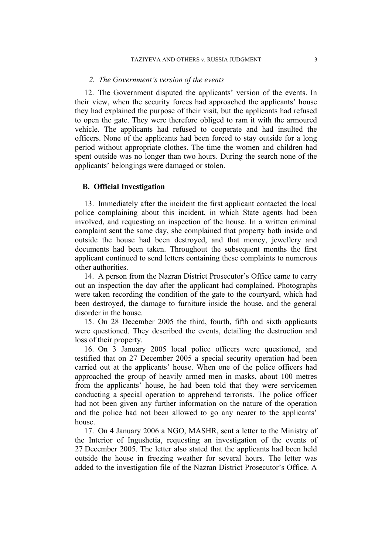#### *2. The Government's version of the events*

12. The Government disputed the applicants' version of the events. In their view, when the security forces had approached the applicants' house they had explained the purpose of their visit, but the applicants had refused to open the gate. They were therefore obliged to ram it with the armoured vehicle. The applicants had refused to cooperate and had insulted the officers. None of the applicants had been forced to stay outside for a long period without appropriate clothes. The time the women and children had spent outside was no longer than two hours. During the search none of the applicants' belongings were damaged or stolen.

#### **B. Official Investigation**

13. Immediately after the incident the first applicant contacted the local police complaining about this incident, in which State agents had been involved, and requesting an inspection of the house. In a written criminal complaint sent the same day, she complained that property both inside and outside the house had been destroyed, and that money, jewellery and documents had been taken. Throughout the subsequent months the first applicant continued to send letters containing these complaints to numerous other authorities.

14. A person from the Nazran District Prosecutor's Office came to carry out an inspection the day after the applicant had complained. Photographs were taken recording the condition of the gate to the courtyard, which had been destroyed, the damage to furniture inside the house, and the general disorder in the house.

15. On 28 December 2005 the third, fourth, fifth and sixth applicants were questioned. They described the events, detailing the destruction and loss of their property.

16. On 3 January 2005 local police officers were questioned, and testified that on 27 December 2005 a special security operation had been carried out at the applicants' house. When one of the police officers had approached the group of heavily armed men in masks, about 100 metres from the applicants' house, he had been told that they were servicemen conducting a special operation to apprehend terrorists. The police officer had not been given any further information on the nature of the operation and the police had not been allowed to go any nearer to the applicants' house.

<span id="page-4-0"></span>17. On 4 January 2006 a NGO, MASHR, sent a letter to the Ministry of the Interior of Ingushetia, requesting an investigation of the events of 27 December 2005. The letter also stated that the applicants had been held outside the house in freezing weather for several hours. The letter was added to the investigation file of the Nazran District Prosecutor's Office. A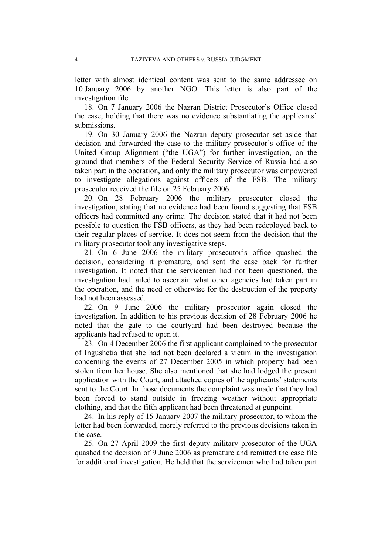letter with almost identical content was sent to the same addressee on 10 January 2006 by another NGO. This letter is also part of the investigation file.

18. On 7 January 2006 the Nazran District Prosecutor's Office closed the case, holding that there was no evidence substantiating the applicants' submissions.

19. On 30 January 2006 the Nazran deputy prosecutor set aside that decision and forwarded the case to the military prosecutor's office of the United Group Alignment ("the UGA") for further investigation, on the ground that members of the Federal Security Service of Russia had also taken part in the operation, and only the military prosecutor was empowered to investigate allegations against officers of the FSB. The military prosecutor received the file on 25 February 2006.

20. On 28 February 2006 the military prosecutor closed the investigation, stating that no evidence had been found suggesting that FSB officers had committed any crime. The decision stated that it had not been possible to question the FSB officers, as they had been redeployed back to their regular places of service. It does not seem from the decision that the military prosecutor took any investigative steps.

21. On 6 June 2006 the military prosecutor's office quashed the decision, considering it premature, and sent the case back for further investigation. It noted that the servicemen had not been questioned, the investigation had failed to ascertain what other agencies had taken part in the operation, and the need or otherwise for the destruction of the property had not been assessed.

22. On 9 June 2006 the military prosecutor again closed the investigation. In addition to his previous decision of 28 February 2006 he noted that the gate to the courtyard had been destroyed because the applicants had refused to open it.

<span id="page-5-0"></span>23. On 4 December 2006 the first applicant complained to the prosecutor of Ingushetia that she had not been declared a victim in the investigation concerning the events of 27 December 2005 in which property had been stolen from her house. She also mentioned that she had lodged the present application with the Court, and attached copies of the applicants' statements sent to the Court. In those documents the complaint was made that they had been forced to stand outside in freezing weather without appropriate clothing, and that the fifth applicant had been threatened at gunpoint.

24. In his reply of 15 January 2007 the military prosecutor, to whom the letter had been forwarded, merely referred to the previous decisions taken in the case.

25. On 27 April 2009 the first deputy military prosecutor of the UGA quashed the decision of 9 June 2006 as premature and remitted the case file for additional investigation. He held that the servicemen who had taken part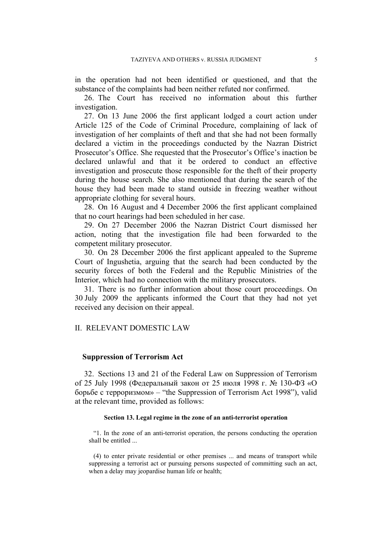in the operation had not been identified or questioned, and that the substance of the complaints had been neither refuted nor confirmed.

26. The Court has received no information about this further investigation.

27. On 13 June 2006 the first applicant lodged a court action under Article 125 of the Code of Criminal Procedure, complaining of lack of investigation of her complaints of theft and that she had not been formally declared a victim in the proceedings conducted by the Nazran District Prosecutor's Office. She requested that the Prosecutor's Office's inaction be declared unlawful and that it be ordered to conduct an effective investigation and prosecute those responsible for the theft of their property during the house search. She also mentioned that during the search of the house they had been made to stand outside in freezing weather without appropriate clothing for several hours.

28. On 16 August and 4 December 2006 the first applicant complained that no court hearings had been scheduled in her case.

29. On 27 December 2006 the Nazran District Court dismissed her action, noting that the investigation file had been forwarded to the competent military prosecutor.

30. On 28 December 2006 the first applicant appealed to the Supreme Court of Ingushetia, arguing that the search had been conducted by the security forces of both the Federal and the Republic Ministries of the Interior, which had no connection with the military prosecutors.

31. There is no further information about those court proceedings. On 30 July 2009 the applicants informed the Court that they had not yet received any decision on their appeal.

#### II. RELEVANT DOMESTIC LAW

#### **Suppression of Terrorism Act**

32. Sections 13 and 21 of the Federal Law on Suppression of Terrorism of 25 July 1998 (Федеральный закон от 25 июля 1998 г. № 130-ФЗ «О борьбе с терроризмом» – "the Suppression of Terrorism Act 1998"), valid at the relevant time, provided as follows:

#### **Section 13. Legal regime in the zone of an anti-terrorist operation**

"1. In the zone of an anti-terrorist operation, the persons conducting the operation shall be entitled ...

(4) to enter private residential or other premises ... and means of transport while suppressing a terrorist act or pursuing persons suspected of committing such an act, when a delay may jeopardise human life or health;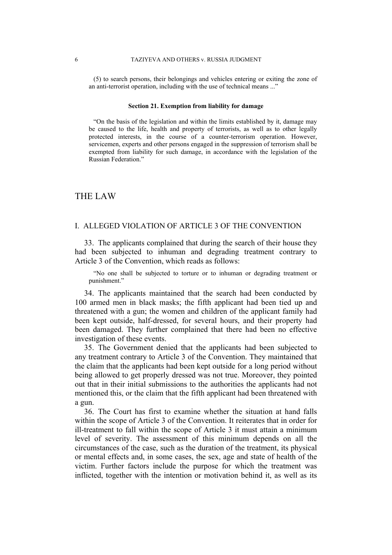(5) to search persons, their belongings and vehicles entering or exiting the zone of an anti-terrorist operation, including with the use of technical means ..."

#### **Section 21. Exemption from liability for damage**

"On the basis of the legislation and within the limits established by it, damage may be caused to the life, health and property of terrorists, as well as to other legally protected interests, in the course of a counter-terrorism operation. However, servicemen, experts and other persons engaged in the suppression of terrorism shall be exempted from liability for such damage, in accordance with the legislation of the Russian Federation."

### THE LAW

#### I. ALLEGED VIOLATION OF ARTICLE 3 OF THE CONVENTION

33. The applicants complained that during the search of their house they had been subjected to inhuman and degrading treatment contrary to Article 3 of the Convention, which reads as follows:

"No one shall be subjected to torture or to inhuman or degrading treatment or punishment."

34. The applicants maintained that the search had been conducted by 100 armed men in black masks; the fifth applicant had been tied up and threatened with a gun; the women and children of the applicant family had been kept outside, half-dressed, for several hours, and their property had been damaged. They further complained that there had been no effective investigation of these events.

35. The Government denied that the applicants had been subjected to any treatment contrary to Article 3 of the Convention. They maintained that the claim that the applicants had been kept outside for a long period without being allowed to get properly dressed was not true. Moreover, they pointed out that in their initial submissions to the authorities the applicants had not mentioned this, or the claim that the fifth applicant had been threatened with a gun.

36. The Court has first to examine whether the situation at hand falls within the scope of Article 3 of the Convention. It reiterates that in order for ill-treatment to fall within the scope of Article 3 it must attain a minimum level of severity. The assessment of this minimum depends on all the circumstances of the case, such as the duration of the treatment, its physical or mental effects and, in some cases, the sex, age and state of health of the victim. Further factors include the purpose for which the treatment was inflicted, together with the intention or motivation behind it, as well as its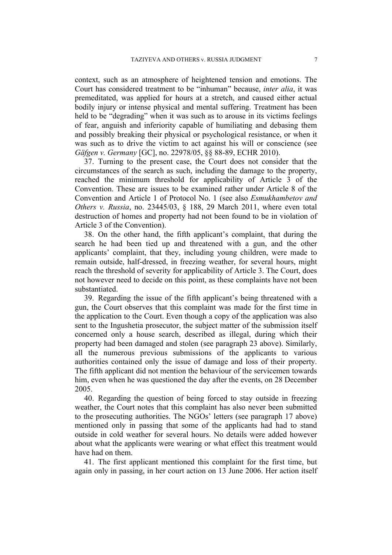context, such as an atmosphere of heightened tension and emotions. The Court has considered treatment to be "inhuman" because, *inter alia*, it was premeditated, was applied for hours at a stretch, and caused either actual bodily injury or intense physical and mental suffering. Treatment has been held to be "degrading" when it was such as to arouse in its victims feelings of fear, anguish and inferiority capable of humiliating and debasing them and possibly breaking their physical or psychological resistance, or when it was such as to drive the victim to act against his will or conscience (see *Gäfgen v. Germany* [GC], no. 22978/05, §§ 88-89, ECHR 2010).

37. Turning to the present case, the Court does not consider that the circumstances of the search as such, including the damage to the property, reached the minimum threshold for applicability of Article 3 of the Convention. These are issues to be examined rather under Article 8 of the Convention and Article 1 of Protocol No. 1 (see also *Esmukhambetov and Others v. Russia*, no. 23445/03, § 188, 29 March 2011, where even total destruction of homes and property had not been found to be in violation of Article 3 of the Convention).

38. On the other hand, the fifth applicant's complaint, that during the search he had been tied up and threatened with a gun, and the other applicants' complaint, that they, including young children, were made to remain outside, half-dressed, in freezing weather, for several hours, might reach the threshold of severity for applicability of Article 3. The Court, does not however need to decide on this point, as these complaints have not been substantiated.

39. Regarding the issue of the fifth applicant's being threatened with a gun, the Court observes that this complaint was made for the first time in the application to the Court. Even though a copy of the application was also sent to the Ingushetia prosecutor, the subject matter of the submission itself concerned only a house search, described as illegal, during which their property had been damaged and stolen (see paragraph [23](#page-5-0) above). Similarly, all the numerous previous submissions of the applicants to various authorities contained only the issue of damage and loss of their property. The fifth applicant did not mention the behaviour of the servicemen towards him, even when he was questioned the day after the events, on 28 December 2005.

40. Regarding the question of being forced to stay outside in freezing weather, the Court notes that this complaint has also never been submitted to the prosecuting authorities. The NGOs' letters (see paragraph [17](#page-4-0) above) mentioned only in passing that some of the applicants had had to stand outside in cold weather for several hours. No details were added however about what the applicants were wearing or what effect this treatment would have had on them.

41. The first applicant mentioned this complaint for the first time, but again only in passing, in her court action on 13 June 2006. Her action itself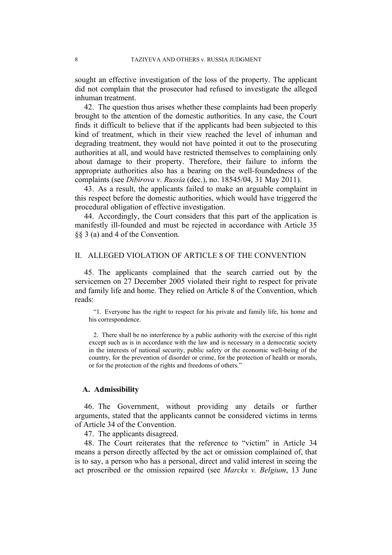sought an effective investigation of the loss of the property. The applicant did not complain that the prosecutor had refused to investigate the alleged inhuman treatment.

42. The question thus arises whether these complaints had been properly brought to the attention of the domestic authorities. In any case, the Court finds it difficult to believe that if the applicants had been subjected to this kind of treatment, which in their view reached the level of inhuman and degrading treatment, they would not have pointed it out to the prosecuting authorities at all, and would have restricted themselves to complaining only about damage to their property. Therefore, their failure to inform the appropriate authorities also has a bearing on the well-foundedness of the complaints (see *Dibirova v. Russia* (dec.), no. 18545/04, 31 May 2011).

43. As a result, the applicants failed to make an arguable complaint in this respect before the domestic authorities, which would have triggered the procedural obligation of effective investigation.

44. Accordingly, the Court considers that this part of the application is manifestly ill-founded and must be rejected in accordance with Article 35 §§ 3 (a) and 4 of the Convention.

#### II. ALLEGED VIOLATION OF ARTICLE 8 OF THE CONVENTION

45. The applicants complained that the search carried out by the servicemen on 27 December 2005 violated their right to respect for private and family life and home. They relied on Article 8 of the Convention, which reads:

"1. Everyone has the right to respect for his private and family life, his home and his correspondence.

2. There shall be no interference by a public authority with the exercise of this right except such as is in accordance with the law and is necessary in a democratic society in the interests of national security, public safety or the economic well-being of the country, for the prevention of disorder or crime, for the protection of health or morals, or for the protection of the rights and freedoms of others."

#### **A. Admissibility**

46. The Government, without providing any details or further arguments, stated that the applicants cannot be considered victims in terms of Article 34 of the Convention.

47. The applicants disagreed.

48. The Court reiterates that the reference to "victim" in Article 34 means a person directly affected by the act or omission complained of, that is to say, a person who has a personal, direct and valid interest in seeing the act proscribed or the omission repaired (see *Marckx v. Belgium*, 13 June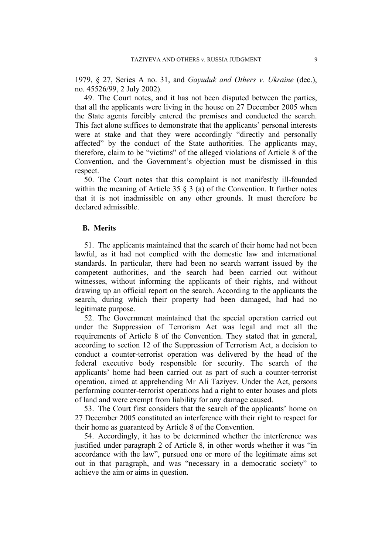1979, § 27, Series A no. 31, and *Gayuduk and Others v. Ukraine* (dec.), no. 45526/99, 2 July 2002).

49. The Court notes, and it has not been disputed between the parties, that all the applicants were living in the house on 27 December 2005 when the State agents forcibly entered the premises and conducted the search. This fact alone suffices to demonstrate that the applicants' personal interests were at stake and that they were accordingly "directly and personally affected" by the conduct of the State authorities. The applicants may, therefore, claim to be "victims" of the alleged violations of Article 8 of the Convention, and the Government's objection must be dismissed in this respect.

50. The Court notes that this complaint is not manifestly ill-founded within the meaning of Article 35  $\S$  3 (a) of the Convention. It further notes that it is not inadmissible on any other grounds. It must therefore be declared admissible.

#### **B. Merits**

51. The applicants maintained that the search of their home had not been lawful, as it had not complied with the domestic law and international standards. In particular, there had been no search warrant issued by the competent authorities, and the search had been carried out without witnesses, without informing the applicants of their rights, and without drawing up an official report on the search. According to the applicants the search, during which their property had been damaged, had had no legitimate purpose.

52. The Government maintained that the special operation carried out under the Suppression of Terrorism Act was legal and met all the requirements of Article 8 of the Convention. They stated that in general, according to section 12 of the Suppression of Terrorism Act, a decision to conduct a counter-terrorist operation was delivered by the head of the federal executive body responsible for security. The search of the applicants' home had been carried out as part of such a counter-terrorist operation, aimed at apprehending Mr Ali Taziyev. Under the Act, persons performing counter-terrorist operations had a right to enter houses and plots of land and were exempt from liability for any damage caused.

53. The Court first considers that the search of the applicants' home on 27 December 2005 constituted an interference with their right to respect for their home as guaranteed by Article 8 of the Convention.

54. Accordingly, it has to be determined whether the interference was justified under paragraph 2 of Article 8, in other words whether it was "in accordance with the law", pursued one or more of the legitimate aims set out in that paragraph, and was "necessary in a democratic society" to achieve the aim or aims in question.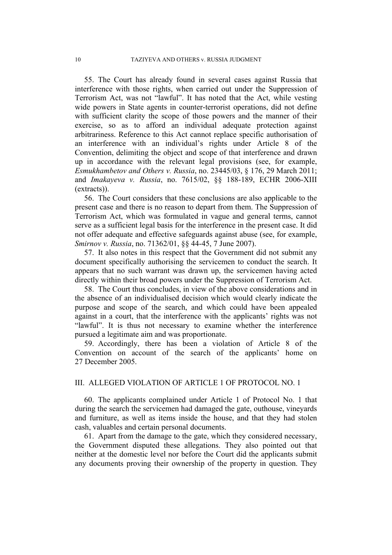55. The Court has already found in several cases against Russia that interference with those rights, when carried out under the Suppression of Terrorism Act, was not "lawful". It has noted that the Act, while vesting wide powers in State agents in counter-terrorist operations, did not define with sufficient clarity the scope of those powers and the manner of their exercise, so as to afford an individual adequate protection against arbitrariness. Reference to this Act cannot replace specific authorisation of an interference with an individual's rights under Article 8 of the Convention, delimiting the object and scope of that interference and drawn up in accordance with the relevant legal provisions (see, for example, *Esmukhambetov and Others v. Russia*, no. 23445/03, § 176, 29 March 2011; and *Imakayeva v. Russia*, no. 7615/02, §§ 188-189, ECHR 2006-XIII (extracts)).

56. The Court considers that these conclusions are also applicable to the present case and there is no reason to depart from them. The Suppression of Terrorism Act, which was formulated in vague and general terms, cannot serve as a sufficient legal basis for the interference in the present case. It did not offer adequate and effective safeguards against abuse (see, for example, *Smirnov v. Russia*, no. 71362/01, §§ 44-45, 7 June 2007).

57. It also notes in this respect that the Government did not submit any document specifically authorising the servicemen to conduct the search. It appears that no such warrant was drawn up, the servicemen having acted directly within their broad powers under the Suppression of Terrorism Act.

<span id="page-11-0"></span>58. The Court thus concludes, in view of the above considerations and in the absence of an individualised decision which would clearly indicate the purpose and scope of the search, and which could have been appealed against in a court, that the interference with the applicants' rights was not "lawful". It is thus not necessary to examine whether the interference pursued a legitimate aim and was proportionate.

59. Accordingly, there has been a violation of Article 8 of the Convention on account of the search of the applicants' home on 27 December 2005.

#### III. ALLEGED VIOLATION OF ARTICLE 1 OF PROTOCOL NO. 1

60. The applicants complained under Article 1 of Protocol No. 1 that during the search the servicemen had damaged the gate, outhouse, vineyards and furniture, as well as items inside the house, and that they had stolen cash, valuables and certain personal documents.

61. Apart from the damage to the gate, which they considered necessary, the Government disputed these allegations. They also pointed out that neither at the domestic level nor before the Court did the applicants submit any documents proving their ownership of the property in question. They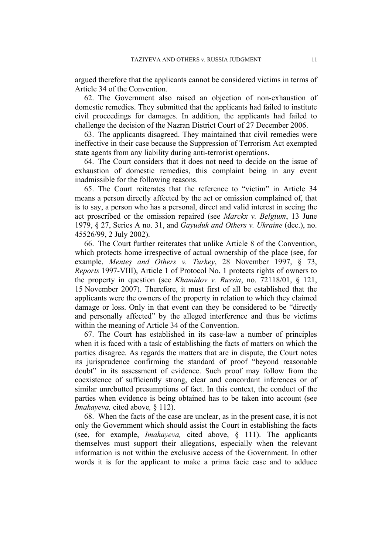argued therefore that the applicants cannot be considered victims in terms of Article 34 of the Convention.

62. The Government also raised an objection of non-exhaustion of domestic remedies. They submitted that the applicants had failed to institute civil proceedings for damages. In addition, the applicants had failed to challenge the decision of the Nazran District Court of 27 December 2006.

63. The applicants disagreed. They maintained that civil remedies were ineffective in their case because the Suppression of Terrorism Act exempted state agents from any liability during anti-terrorist operations.

64. The Court considers that it does not need to decide on the issue of exhaustion of domestic remedies, this complaint being in any event inadmissible for the following reasons.

65. The Court reiterates that the reference to "victim" in Article 34 means a person directly affected by the act or omission complained of, that is to say, a person who has a personal, direct and valid interest in seeing the act proscribed or the omission repaired (see *Marckx v. Belgium*, 13 June 1979, § 27, Series A no. 31, and *Gayuduk and Others v. Ukraine* (dec.), no. 45526/99, 2 July 2002).

66. The Court further reiterates that unlike Article 8 of the Convention, which protects home irrespective of actual ownership of the place (see, for example, *Menteş and Others v. Turkey*, 28 November 1997, § 73, *Reports* 1997-VIII), Article 1 of Protocol No. 1 protects rights of owners to the property in question (see *Khamidov v. Russia*, no. 72118/01, § 121, 15 November 2007). Therefore, it must first of all be established that the applicants were the owners of the property in relation to which they claimed damage or loss. Only in that event can they be considered to be "directly and personally affected" by the alleged interference and thus be victims within the meaning of Article 34 of the Convention.

67. The Court has established in its case-law a number of principles when it is faced with a task of establishing the facts of matters on which the parties disagree. As regards the matters that are in dispute, the Court notes its jurisprudence confirming the standard of proof "beyond reasonable doubt" in its assessment of evidence. Such proof may follow from the coexistence of sufficiently strong, clear and concordant inferences or of similar unrebutted presumptions of fact. In this context, the conduct of the parties when evidence is being obtained has to be taken into account (see *Imakayeva,* cited above*,* § 112).

68. When the facts of the case are unclear, as in the present case, it is not only the Government which should assist the Court in establishing the facts (see, for example, *Imakayeva,* cited above, § 111). The applicants themselves must support their allegations, especially when the relevant information is not within the exclusive access of the Government. In other words it is for the applicant to make a prima facie case and to adduce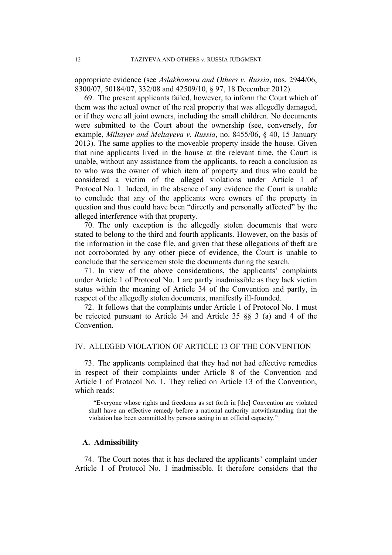appropriate evidence (see *Aslakhanova and Others v. Russia*, nos. 2944/06, 8300/07, 50184/07, 332/08 and 42509/10, § 97, 18 December 2012).

69. The present applicants failed, however, to inform the Court which of them was the actual owner of the real property that was allegedly damaged, or if they were all joint owners, including the small children. No documents were submitted to the Court about the ownership (see, conversely, for example, *Miltayev and Meltayeva v. Russia*, no. 8455/06, § 40, 15 January 2013). The same applies to the moveable property inside the house. Given that nine applicants lived in the house at the relevant time, the Court is unable, without any assistance from the applicants, to reach a conclusion as to who was the owner of which item of property and thus who could be considered a victim of the alleged violations under Article 1 of Protocol No. 1. Indeed, in the absence of any evidence the Court is unable to conclude that any of the applicants were owners of the property in question and thus could have been "directly and personally affected" by the alleged interference with that property.

70. The only exception is the allegedly stolen documents that were stated to belong to the third and fourth applicants. However, on the basis of the information in the case file, and given that these allegations of theft are not corroborated by any other piece of evidence, the Court is unable to conclude that the servicemen stole the documents during the search.

71. In view of the above considerations, the applicants' complaints under Article 1 of Protocol No. 1 are partly inadmissible as they lack victim status within the meaning of Article 34 of the Convention and partly, in respect of the allegedly stolen documents, manifestly ill-founded.

72. It follows that the complaints under Article 1 of Protocol No. 1 must be rejected pursuant to Article 34 and Article 35 §§ 3 (a) and 4 of the Convention.

#### IV. ALLEGED VIOLATION OF ARTICLE 13 OF THE CONVENTION

73. The applicants complained that they had not had effective remedies in respect of their complaints under Article 8 of the Convention and Article 1 of Protocol No. 1. They relied on Article 13 of the Convention, which reads:

"Everyone whose rights and freedoms as set forth in [the] Convention are violated shall have an effective remedy before a national authority notwithstanding that the violation has been committed by persons acting in an official capacity."

#### **A. Admissibility**

74. The Court notes that it has declared the applicants' complaint under Article 1 of Protocol No. 1 inadmissible. It therefore considers that the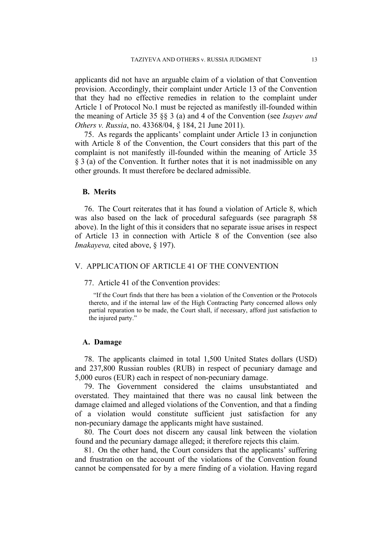applicants did not have an arguable claim of a violation of that Convention provision. Accordingly, their complaint under Article 13 of the Convention that they had no effective remedies in relation to the complaint under Article 1 of Protocol No.1 must be rejected as manifestly ill-founded within the meaning of Article 35 §§ 3 (a) and 4 of the Convention (see *Isayev and Others v. Russia*, no. 43368/04, § 184, 21 June 2011).

75. As regards the applicants' complaint under Article 13 in conjunction with Article 8 of the Convention, the Court considers that this part of the complaint is not manifestly ill-founded within the meaning of Article 35 § 3 (a) of the Convention. It further notes that it is not inadmissible on any other grounds. It must therefore be declared admissible.

#### **B. Merits**

76. The Court reiterates that it has found a violation of Article 8, which was also based on the lack of procedural safeguards (see paragraph [58](#page-11-0) above). In the light of this it considers that no separate issue arises in respect of Article 13 in connection with Article 8 of the Convention (see also *Imakayeva,* cited above, § 197).

#### V. APPLICATION OF ARTICLE 41 OF THE CONVENTION

77. Article 41 of the Convention provides:

"If the Court finds that there has been a violation of the Convention or the Protocols thereto, and if the internal law of the High Contracting Party concerned allows only partial reparation to be made, the Court shall, if necessary, afford just satisfaction to the injured party."

#### **A. Damage**

78. The applicants claimed in total 1,500 United States dollars (USD) and 237,800 Russian roubles (RUB) in respect of pecuniary damage and 5,000 euros (EUR) each in respect of non-pecuniary damage.

79. The Government considered the claims unsubstantiated and overstated. They maintained that there was no causal link between the damage claimed and alleged violations of the Convention, and that a finding of a violation would constitute sufficient just satisfaction for any non-pecuniary damage the applicants might have sustained.

80. The Court does not discern any causal link between the violation found and the pecuniary damage alleged; it therefore rejects this claim.

81. On the other hand, the Court considers that the applicants' suffering and frustration on the account of the violations of the Convention found cannot be compensated for by a mere finding of a violation. Having regard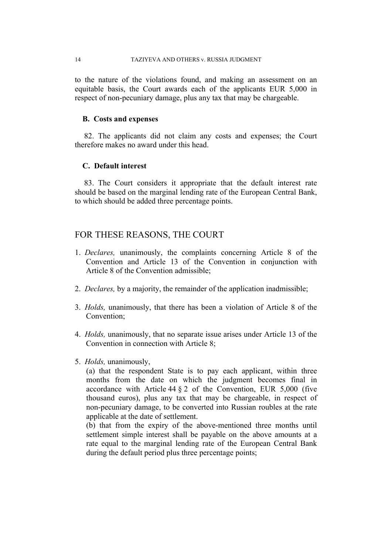to the nature of the violations found, and making an assessment on an equitable basis, the Court awards each of the applicants EUR 5,000 in respect of non-pecuniary damage, plus any tax that may be chargeable.

#### **B. Costs and expenses**

82. The applicants did not claim any costs and expenses; the Court therefore makes no award under this head.

### **C. Default interest**

83. The Court considers it appropriate that the default interest rate should be based on the marginal lending rate of the European Central Bank, to which should be added three percentage points.

### FOR THESE REASONS, THE COURT

- 1. *Declares,* unanimously, the complaints concerning Article 8 of the Convention and Article 13 of the Convention in conjunction with Article 8 of the Convention admissible;
- 2. *Declares,* by a majority, the remainder of the application inadmissible;
- 3. *Holds,* unanimously, that there has been a violation of Article 8 of the Convention;
- 4. *Holds,* unanimously, that no separate issue arises under Article 13 of the Convention in connection with Article 8;
- 5. *Holds,* unanimously,

(a) that the respondent State is to pay each applicant, within three months from the date on which the judgment becomes final in accordance with Article 44 § 2 of the Convention, EUR 5,000 (five thousand euros), plus any tax that may be chargeable, in respect of non-pecuniary damage, to be converted into Russian roubles at the rate applicable at the date of settlement.

(b) that from the expiry of the above-mentioned three months until settlement simple interest shall be payable on the above amounts at a rate equal to the marginal lending rate of the European Central Bank during the default period plus three percentage points;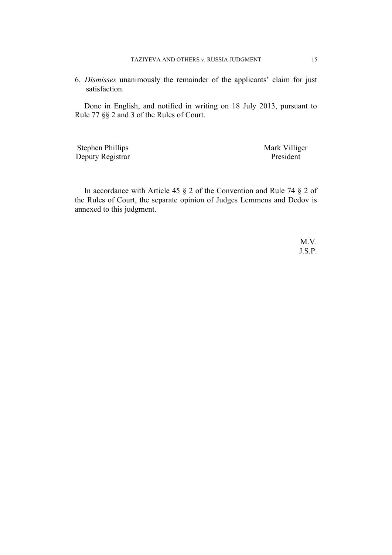6. *Dismisses* unanimously the remainder of the applicants' claim for just satisfaction.

Done in English, and notified in writing on 18 July 2013, pursuant to Rule 77 §§ 2 and 3 of the Rules of Court.

Stephen Phillips Mark Villiger Deputy Registrar President

In accordance with Article 45 § 2 of the Convention and Rule 74 § 2 of the Rules of Court, the separate opinion of Judges Lemmens and Dedov is annexed to this judgment.

> M.V. J.S.P.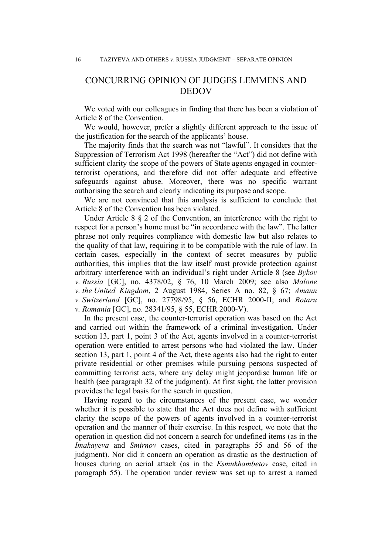## CONCURRING OPINION OF JUDGES LEMMENS AND DEDOV

We voted with our colleagues in finding that there has been a violation of Article 8 of the Convention.

We would, however, prefer a slightly different approach to the issue of the justification for the search of the applicants' house.

The majority finds that the search was not "lawful". It considers that the Suppression of Terrorism Act 1998 (hereafter the "Act") did not define with sufficient clarity the scope of the powers of State agents engaged in counterterrorist operations, and therefore did not offer adequate and effective safeguards against abuse. Moreover, there was no specific warrant authorising the search and clearly indicating its purpose and scope.

We are not convinced that this analysis is sufficient to conclude that Article 8 of the Convention has been violated.

Under Article 8 § 2 of the Convention, an interference with the right to respect for a person's home must be "in accordance with the law". The latter phrase not only requires compliance with domestic law but also relates to the quality of that law, requiring it to be compatible with the rule of law. In certain cases, especially in the context of secret measures by public authorities, this implies that the law itself must provide protection against arbitrary interference with an individual's right under Article 8 (see *Bykov v. Russia* [GC], no. 4378/02, § 76, 10 March 2009; see also *Malone v. the United Kingdom*, 2 August 1984, Series A no. 82, § 67; *Amann v. Switzerland* [GC], no. 27798/95, § 56, ECHR 2000-II; and *Rotaru v. Romania* [GC], no. 28341/95, § 55, ECHR 2000-V).

In the present case, the counter-terrorist operation was based on the Act and carried out within the framework of a criminal investigation. Under section 13, part 1, point 3 of the Act, agents involved in a counter-terrorist operation were entitled to arrest persons who had violated the law. Under section 13, part 1, point 4 of the Act, these agents also had the right to enter private residential or other premises while pursuing persons suspected of committing terrorist acts, where any delay might jeopardise human life or health (see paragraph 32 of the judgment). At first sight, the latter provision provides the legal basis for the search in question.

Having regard to the circumstances of the present case, we wonder whether it is possible to state that the Act does not define with sufficient clarity the scope of the powers of agents involved in a counter-terrorist operation and the manner of their exercise. In this respect, we note that the operation in question did not concern a search for undefined items (as in the *Imakayeva* and *Smirnov* cases, cited in paragraphs 55 and 56 of the judgment). Nor did it concern an operation as drastic as the destruction of houses during an aerial attack (as in the *Esmukhambetov* case, cited in paragraph 55). The operation under review was set up to arrest a named